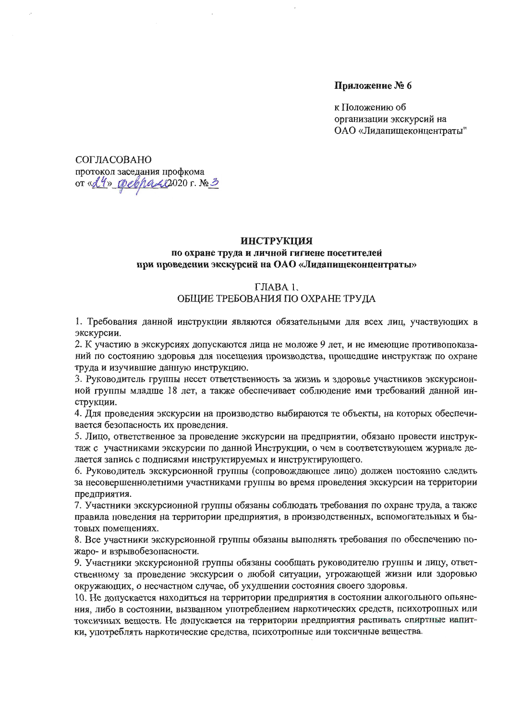### Приложение № 6

к Положению об организации экскурсий на ОАО «Лидапищеконцентраты"

СОГЛАСОВАНО протокол заседания профкома OT « 24» opel para 2020 г. № 3

#### **ИНСТРУКЦИЯ**

### по охране труда и личной гигиене посетителей при проведении экскурсий на ОАО «Лидапищеконцентраты»

#### ГЛАВА 1.

#### ОБЩИЕ ТРЕБОВАНИЯ ПО ОХРАНЕ ТРУДА

1. Требования данной инструкции являются обязательными для всех лиц, участвующих в экскурсии.

2. К участию в экскурсиях допускаются лица не моложе 9 лет, и не имеющие противопоказаний по состоянию здоровья для посещения производства, прошедшие инструктаж по охране труда и изучившие данную инструкцию.

3. Руководитель группы несет ответственность за жизнь и здоровье участников экскурсионной группы младше 18 лет, а также обеспечивает соблюдение ими требований данной инструкции.

4. Для проведения экскурсии на производство выбираются те объекты, на которых обеспечивается безопасность их проведения.

5. Лицо, ответственное за проведение экскурсии на предприятии, обязано провести инструктаж с участниками экскурсии по данной Инструкции, о чем в соответствующем журнале делается запись с подписями инструктируемых и инструктирующего.

6. Руководитель экскурсионной группы (сопровождающее лицо) должен постоянно следить за несовершеннолетними участниками группы во время проведения экскурсии на территории предприятия.

7. Участники экскурсионной группы обязаны соблюдать требования по охране труда, а также правила поведения на территории предприятия, в производственных, вспомогательных и бытовых помещениях.

8. Все участники экскурсионной группы обязаны выполнять требования по обеспечению пожаро- и взрывобезопасности.

9. Участники экскурсионной группы обязаны сообщать руководителю группы и лицу, ответственному за проведение экскурсии о любой ситуации, угрожающей жизни или здоровью окружающих, о несчастном случае, об ухудшении состояния своего здоровья.

10. Не допускается находиться на территории предприятия в состоянии алкогольного опьянения, либо в состоянии, вызванном употреблением наркотических средств, психотропных или токсичных веществ. Не допустается на территории предприятия распивалсь спиртные напитки, употреблять наркотические средства, психотропные или токсичные вещества.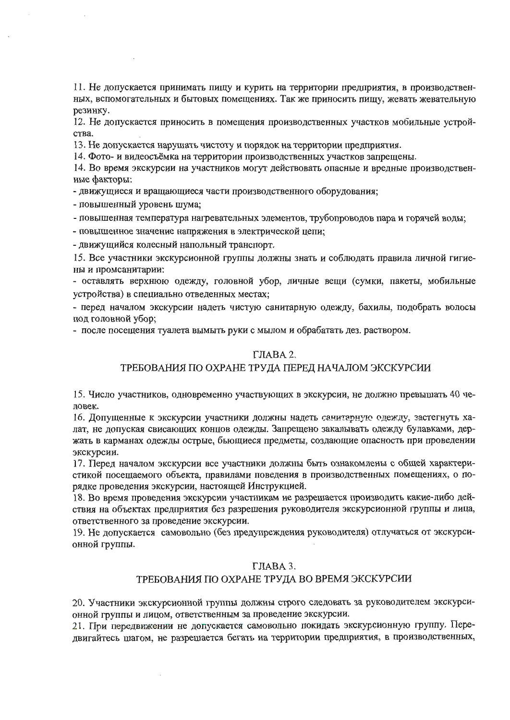11. Не допускается принимать пищу и курить на территории предприятия, в производственных, вспомогательных и бытовых помещениях. Так же приносить пищу, жевать жевательную резинку.

12. Не допускается приносить в помещения производственных участков мобильные устройства.

13. Не допускается нарушать чистоту и порядок на территории предприятия.

14. Фото- и видеосъёмка на территории производственных участков запрещены.

14. Во время экскурсии на участников могут действовать опасные и вредные производственные факторы:

- движущиеся и вращающиеся части производственного оборудования;

- повышенный уровень шума;

- повышенная температура нагревательных элементов, трубопроводов пара и горячей воды;

- повышенное значение напряжения в электрической цепи;

- движущийся колесный напольный транспорт.

15. Все участники экскурсионной группы должны знать и соблюдать правила личной гигиены и промсанитарии:

- оставлять верхнюю одежду, головной убор, личные вещи (сумки, пакеты, мобильные устройства) в специально отведенных местах;

- перед началом экскурсии надеть чистую санитарную одежду, бахилы, подобрать волосы под головной убор;

- после посещения туалета вымыть руки с мылом и обрабатать дез. раствором.

## ГЛАВА 2.

## ТРЕБОВАНИЯ ПО ОХРАНЕ ТРУДА ПЕРЕД НАЧАЛОМ ЭКСКУРСИИ

15. Число участников, одновременно участвующих в экскурсии, не должно превышать 40 человек.

16. Допущенные к экскурсии участники должны надеть санитарную одежду, застегнуть халат, не допуская свисающих концов одежды. Запрещено закалывать одежду булавками, держать в карманах одежды острые, бьющиеся предметы, создающие опасность при проведении экскурсии.

17. Перед началом экскурсии все участники должны быть ознакомлены с общей характеристикой посещаемого объекта, правилами поведения в производственных помещениях, о порядке проведения экскурсии, настоящей Инструкцией.

18. Во время проведения экскурсии участникам не разрешается производить какие-либо действия на объектах предприятия без разрешения руководителя экскурсионной группы и лица, ответственного за проведение экскурсии.

19. Не допускается самовольно (без предупреждения руководителя) отлучаться от экскурсионной группы.

### ГЛАВА 3.

## ТРЕБОВАНИЯ ПО ОХРАНЕ ТРУДА ВО ВРЕМЯ ЭКСКУРСИИ

20. Участники экскурсионной группы должны строго следовать за руководителем экскурсионной группы и лицом, ответственным за проведение экскурсии.

21. При передвижении не допускается самовольно покидать экскурсионную группу. Передвигайтесь шагом, не разрешается бегать на территории предприятия, в производственных,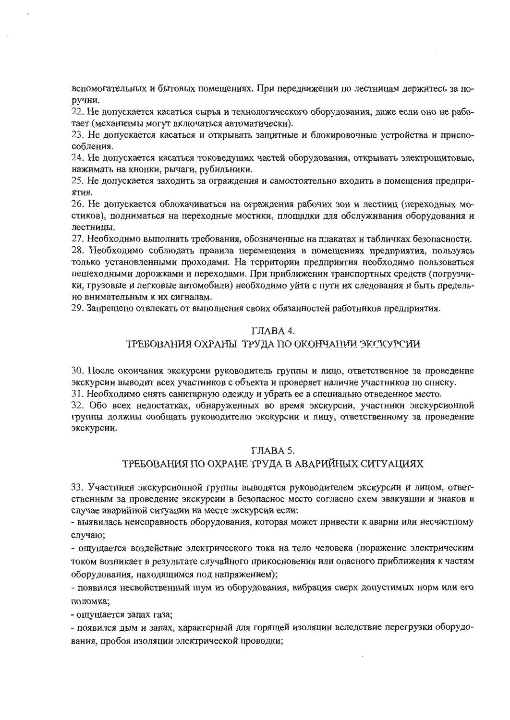вспомогательных и бытовых помещениях. При передвижении по лестницам держитесь за поручни.

22. Не допускается касаться сырья и технологического оборудования, даже если оно не работает (механизмы могут включаться автоматически).

23. Не допускается касаться и открывать защитные и блокировочные устройства и приспособления.

24. Не допускается касаться токоведущих частей оборудования, открывать электрощитовые, нажимать на кнопки, рычаги, рубильники.

25. Не допускается заходить за ограждения и самостоятельно входить в помещения предприятия.

26. Не допускается облокачиваться на ограждения рабочих зон и лестниц (переходных мостиков), подниматься на переходные мостики, площадки для обслуживания оборудования и лестницы.

27. Необходимо выполнять требования, обозначенные на плакатах и табличках безопасности. 28. Необходимо соблюдать правила перемещения в помещениях предприятия, пользуясь только установленными проходами. На территории предприятия необходимо пользоваться пешеходными дорожками и переходами. При приближении транспортных средств (погрузчики, грузовые и легковые автомобили) необходимо уйти с пути их следования и быть предельно внимательным к их сигналам.

29. Запрещено отвлекать от выполнения своих обязанностей работников предприятия.

### ГЛАВА 4.

### ТРЕБОВАНИЯ ОХРАНЫ ТРУДА ПО ОКОНЧАНИИ ЭКСКУРСИИ

30. После окончания экскурсии руководитель группы и лицо, ответственное за проведение экскурсии выводит всех участников с объекта и проверяет наличие участников по списку.

31. Необходимо снять санитарную одежду и убрать ее в специально отведенное место.

32. Обо всех недостатках, обнаруженных во время экскурсии, участники экскурсионной группы должны сообщать руководителю экскурсии и лицу, ответственному за проведение экскурсии.

### ГЛАВА 5.

## ТРЕБОВАНИЯ ПО ОХРАНЕ ТРУДА В АВАРИЙНЫХ СИТУАЦИЯХ

33. Участники экскурсионной группы выводятся руководителем экскурсии и лицом, ответственным за проведение экскурсии в безопасное место согласно схем эвакуации и знаков в случае аварийной ситуации на месте экскурсии если:

- выявилась неисправность оборудования, которая может привести к аварии или несчастному случаю;

- ощущается воздействие электрического тока на тело человека (поражение электрическим током возникает в результате случайного прикосновения или опасного приближения к частям оборудования, находящимся под напряжением);

- появился несвойственный шум из оборудования, вибрация сверх допустимых норм или его поломка;

- ощущается запах газа;

- появился дым и запах, характерный для горящей изоляции вследствие перегрузки оборудования, пробоя изоляции электрической проводки;